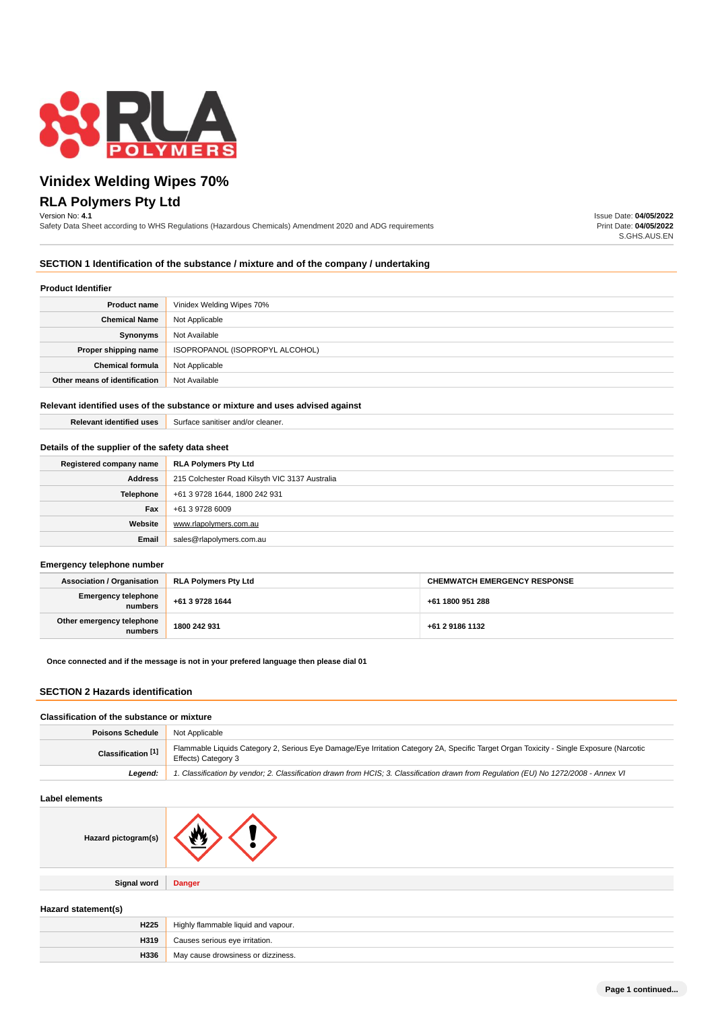

# **Vinidex Welding Wipes 70% RLA Polymers Pty Ltd**

### Version No: **4.1**

Safety Data Sheet according to WHS Regulations (Hazardous Chemicals) Amendment 2020 and ADG requirements

Issue Date: **04/05/2022** Print Date: **04/05/2022** S.GHS.AUS.EN

### **SECTION 1 Identification of the substance / mixture and of the company / undertaking**

#### **Product Identifier**

| .                             |                                 |
|-------------------------------|---------------------------------|
| <b>Product name</b>           | Vinidex Welding Wipes 70%       |
| <b>Chemical Name</b>          | Not Applicable                  |
| Synonyms                      | Not Available                   |
| Proper shipping name          | ISOPROPANOL (ISOPROPYL ALCOHOL) |
| <b>Chemical formula</b>       | Not Applicable                  |
| Other means of identification | Not Available                   |

### **Relevant identified uses of the substance or mixture and uses advised against**

**Relevant identified uses** Surface sanitiser and/or cleaner.

#### **Details of the supplier of the safety data sheet**

| Registered company name | <b>RLA Polymers Pty Ltd</b>                    |
|-------------------------|------------------------------------------------|
| <b>Address</b>          | 215 Colchester Road Kilsyth VIC 3137 Australia |
| Telephone               | +61 3 9728 1644, 1800 242 931                  |
| Fax                     | +61 3 9728 6009                                |
| Website                 | www.rlapolvmers.com.au                         |
| Email                   | sales@rlapolymers.com.au                       |

#### **Emergency telephone number**

| <b>Association / Organisation</b>    | <b>RLA Polymers Pty Ltd</b> | <b>CHEMWATCH EMERGENCY RESPONSE</b> |
|--------------------------------------|-----------------------------|-------------------------------------|
| Emergency telephone<br>numbers       | +61 3 9728 1644             | +61 1800 951 288                    |
| Other emergency telephone<br>numbers | 1800 242 931                | +61 2 9186 1132                     |

### **Once connected and if the message is not in your prefered language then please dial 01**

# **SECTION 2 Hazards identification**

### **Classification of the substance or mixture**

| <b>Poisons Schedule</b> | Not Applicable                                                                                                                                                 |  |
|-------------------------|----------------------------------------------------------------------------------------------------------------------------------------------------------------|--|
| Classification [1]      | Flammable Liquids Category 2, Serious Eye Damage/Eye Irritation Category 2A, Specific Target Organ Toxicity - Single Exposure (Narcotic<br>Effects) Category 3 |  |
| Leaend:                 | 1. Classification by vendor; 2. Classification drawn from HCIS; 3. Classification drawn from Requlation (EU) No 1272/2008 - Annex VI                           |  |

# **Label elements**

| Hazard pictogram(s) | А.            |
|---------------------|---------------|
| <b>Signal word</b>  | <b>Danger</b> |
|                     |               |

#### **Hazard statement(s)**

| H <sub>225</sub> | Highly flammable liquid and vapour. |  |
|------------------|-------------------------------------|--|
| H319             | Causes serious eye irritation.      |  |
| H336             | May cause drowsiness or dizziness.  |  |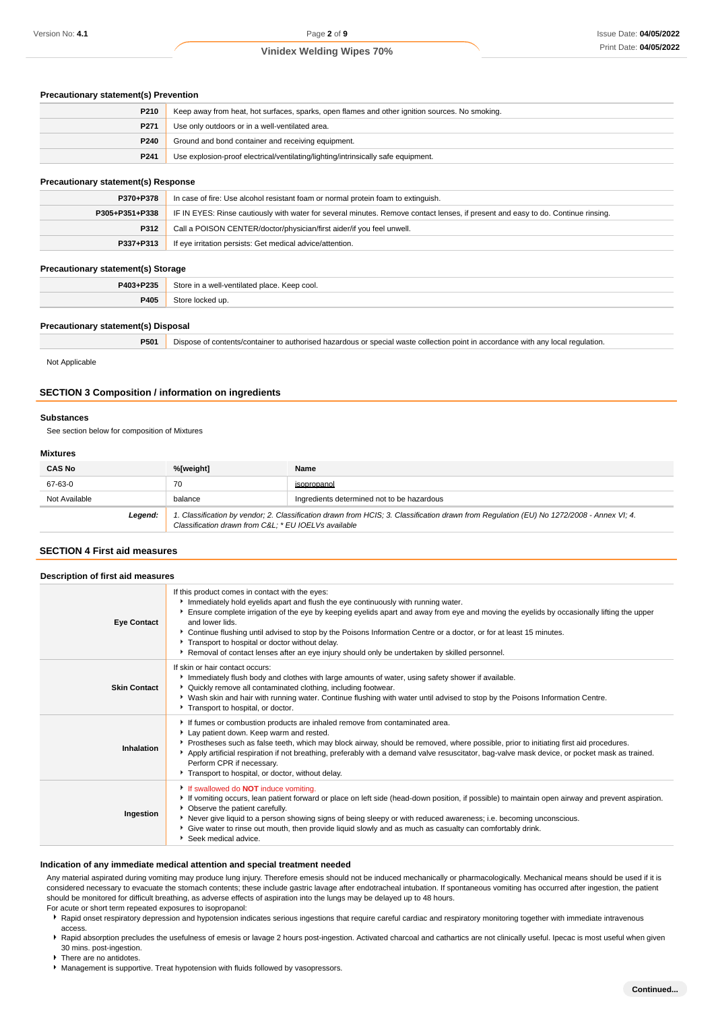### **Precautionary statement(s) Prevention**

| P210             | Keep away from heat, hot surfaces, sparks, open flames and other ignition sources. No smoking. |  |
|------------------|------------------------------------------------------------------------------------------------|--|
| P271             | Use only outdoors or in a well-ventilated area.                                                |  |
| <b>P240</b>      | Ground and bond container and receiving equipment.                                             |  |
| P <sub>241</sub> | Use explosion-proof electrical/ventilating/lighting/intrinsically safe equipment.              |  |

# **Precautionary statement(s) Response**

| P370+P378      | In case of fire: Use alcohol resistant foam or normal protein foam to extinguish.                                                |  |
|----------------|----------------------------------------------------------------------------------------------------------------------------------|--|
| P305+P351+P338 | IF IN EYES: Rinse cautiously with water for several minutes. Remove contact lenses, if present and easy to do. Continue rinsing. |  |
| P312           | Call a POISON CENTER/doctor/physician/first aider/if you feel unwell.                                                            |  |
| P337+P313      | If eye irritation persists: Get medical advice/attention.                                                                        |  |

### **Precautionary statement(s) Storage**

| __<br>____ | ___                                                   |
|------------|-------------------------------------------------------|
| P403+P235  | Store in a well-ventilated place. Keep cool.<br>$  -$ |
| P405       |                                                       |
|            |                                                       |

#### **Precautionary statement(s) Disposal**

| P501 | Dispose of contents/container to authorised hazardous or special waste collection point in accordance with any local regulation. |
|------|----------------------------------------------------------------------------------------------------------------------------------|
|      |                                                                                                                                  |

Not Applicable

## **SECTION 3 Composition / information on ingredients**

#### **Substances**

See section below for composition of Mixtures

#### **Mixtures**

| <b>CAS No</b> | %[weight]                                                                                                                                                                                       | Name                                       |
|---------------|-------------------------------------------------------------------------------------------------------------------------------------------------------------------------------------------------|--------------------------------------------|
| 67-63-0       | 70                                                                                                                                                                                              | isopropanol                                |
| Not Available | balance                                                                                                                                                                                         | Ingredients determined not to be hazardous |
| Legend:       | 1. Classification by vendor; 2. Classification drawn from HCIS; 3. Classification drawn from Regulation (EU) No 1272/2008 - Annex VI; 4.<br>Classification drawn from C&L * EU IOELVs available |                                            |

# **SECTION 4 First aid measures**

| Description of first aid measures |                                                                                                                                                                                                                                                                                                                                                                                                                                                                                                                                                                                   |
|-----------------------------------|-----------------------------------------------------------------------------------------------------------------------------------------------------------------------------------------------------------------------------------------------------------------------------------------------------------------------------------------------------------------------------------------------------------------------------------------------------------------------------------------------------------------------------------------------------------------------------------|
| <b>Eye Contact</b>                | If this product comes in contact with the eyes:<br>Immediately hold eyelids apart and flush the eye continuously with running water.<br>Ensure complete irrigation of the eye by keeping eyelids apart and away from eye and moving the eyelids by occasionally lifting the upper<br>and lower lids.<br>▶ Continue flushing until advised to stop by the Poisons Information Centre or a doctor, or for at least 15 minutes.<br>Transport to hospital or doctor without delay.<br>▶ Removal of contact lenses after an eye injury should only be undertaken by skilled personnel. |
| <b>Skin Contact</b>               | If skin or hair contact occurs:<br>Immediately flush body and clothes with large amounts of water, using safety shower if available.<br>▶ Quickly remove all contaminated clothing, including footwear.<br>▶ Wash skin and hair with running water. Continue flushing with water until advised to stop by the Poisons Information Centre.<br>Transport to hospital, or doctor.                                                                                                                                                                                                    |
| Inhalation                        | If fumes or combustion products are inhaled remove from contaminated area.<br>Lay patient down. Keep warm and rested.<br>▶ Prostheses such as false teeth, which may block airway, should be removed, where possible, prior to initiating first aid procedures.<br>Apply artificial respiration if not breathing, preferably with a demand valve resuscitator, bag-valve mask device, or pocket mask as trained.<br>Perform CPR if necessary.<br>Transport to hospital, or doctor, without delay.                                                                                 |
| Ingestion                         | If swallowed do <b>NOT</b> induce vomiting.<br>If vomiting occurs, lean patient forward or place on left side (head-down position, if possible) to maintain open airway and prevent aspiration.<br>• Observe the patient carefully.<br>▶ Never give liquid to a person showing signs of being sleepy or with reduced awareness; i.e. becoming unconscious.<br>• Give water to rinse out mouth, then provide liquid slowly and as much as casualty can comfortably drink.<br>Seek medical advice.                                                                                  |

#### **Indication of any immediate medical attention and special treatment needed**

Any material aspirated during vomiting may produce lung injury. Therefore emesis should not be induced mechanically or pharmacologically. Mechanical means should be used if it is considered necessary to evacuate the stomach contents; these include gastric lavage after endotracheal intubation. If spontaneous vomiting has occurred after ingestion, the patient should be monitored for difficult breathing, as adverse effects of aspiration into the lungs may be delayed up to 48 hours.

For acute or short term repeated exposures to isopropanol:

- **>** Rapid onset respiratory depression and hypotension indicates serious ingestions that require careful cardiac and respiratory monitoring together with immediate intravenous access.
- ▶ Rapid absorption precludes the usefulness of emesis or lavage 2 hours post-ingestion. Activated charcoal and cathartics are not clinically useful. Ipecac is most useful when given 30 mins. post-ingestion.
- ▶ There are no antidotes.
- **Management is supportive. Treat hypotension with fluids followed by vasopressors.**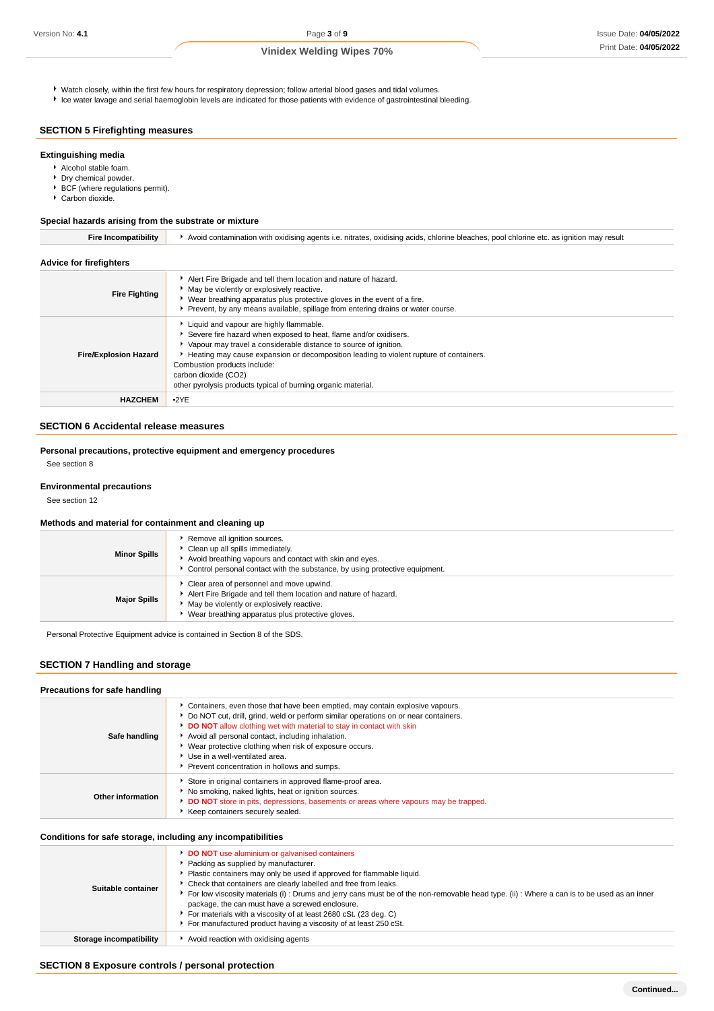Watch closely, within the first few hours for respiratory depression; follow arterial blood gases and tidal volumes.

Ice water lavage and serial haemoglobin levels are indicated for those patients with evidence of gastrointestinal bleeding.

# **SECTION 5 Firefighting measures**

### **Extinguishing media**

- Alcohol stable foam.
- **Dry chemical powder.**
- ▶ BCF (where regulations permit).
- Carbon dioxide.

### **Special hazards arising from the substrate or mixture**

| <b>Advice for firefighters</b> |                                                                                                                                                                                                                                                                                                                                                                                                      |
|--------------------------------|------------------------------------------------------------------------------------------------------------------------------------------------------------------------------------------------------------------------------------------------------------------------------------------------------------------------------------------------------------------------------------------------------|
| <b>Fire Fighting</b>           | Alert Fire Brigade and tell them location and nature of hazard.<br>• May be violently or explosively reactive.<br>• Wear breathing apparatus plus protective gloves in the event of a fire.<br>Prevent, by any means available, spillage from entering drains or water course.                                                                                                                       |
| <b>Fire/Explosion Hazard</b>   | Liquid and vapour are highly flammable.<br>Severe fire hazard when exposed to heat, flame and/or oxidisers.<br>• Vapour may travel a considerable distance to source of ignition.<br>Heating may cause expansion or decomposition leading to violent rupture of containers.<br>Combustion products include:<br>carbon dioxide (CO2)<br>other pyrolysis products typical of burning organic material. |
| <b>HAZCHEM</b>                 | •2YE                                                                                                                                                                                                                                                                                                                                                                                                 |

**Fire Incompatibility Avoid contamination with oxidising agents i.e. nitrates, oxidising acids, chlorine bleaches, pool chlorine etc. as ignition may result** 

# **SECTION 6 Accidental release measures**

### **Personal precautions, protective equipment and emergency procedures**

See section 8

#### **Environmental precautions**

See section 12

#### **Methods and material for containment and cleaning up**

| <b>Minor Spills</b> | Remove all ignition sources.<br>Clean up all spills immediately.<br>Avoid breathing vapours and contact with skin and eyes.<br>Control personal contact with the substance, by using protective equipment.   |
|---------------------|--------------------------------------------------------------------------------------------------------------------------------------------------------------------------------------------------------------|
| <b>Major Spills</b> | Clear area of personnel and move upwind.<br>Alert Fire Brigade and tell them location and nature of hazard.<br>May be violently or explosively reactive.<br>Wear breathing apparatus plus protective gloves. |

Personal Protective Equipment advice is contained in Section 8 of the SDS.

# **SECTION 7 Handling and storage**

### **Precautions for safe handling**

| Safe handling     | • Containers, even those that have been emptied, may contain explosive vapours.<br>▶ Do NOT cut, drill, grind, weld or perform similar operations on or near containers.<br>DO NOT allow clothing wet with material to stay in contact with skin<br>Avoid all personal contact, including inhalation.<br>▶ Wear protective clothing when risk of exposure occurs.<br>Use in a well-ventilated area.<br>Prevent concentration in hollows and sumps. |
|-------------------|----------------------------------------------------------------------------------------------------------------------------------------------------------------------------------------------------------------------------------------------------------------------------------------------------------------------------------------------------------------------------------------------------------------------------------------------------|
| Other information | Store in original containers in approved flame-proof area.<br>No smoking, naked lights, heat or ignition sources.<br>DO NOT store in pits, depressions, basements or areas where vapours may be trapped.<br>Keep containers securely sealed.                                                                                                                                                                                                       |

### **Conditions for safe storage, including any incompatibilities**

| Suitable container      | <b>DO NOT</b> use aluminium or galvanised containers<br>Packing as supplied by manufacturer.<br>• Plastic containers may only be used if approved for flammable liquid.<br>• Check that containers are clearly labelled and free from leaks.<br>For low viscosity materials (i): Drums and jerry cans must be of the non-removable head type. (ii): Where a can is to be used as an inner<br>package, the can must have a screwed enclosure.<br>For materials with a viscosity of at least 2680 cSt. (23 deg. C)<br>For manufactured product having a viscosity of at least 250 cSt. |
|-------------------------|--------------------------------------------------------------------------------------------------------------------------------------------------------------------------------------------------------------------------------------------------------------------------------------------------------------------------------------------------------------------------------------------------------------------------------------------------------------------------------------------------------------------------------------------------------------------------------------|
| Storage incompatibility | ▶ Avoid reaction with oxidising agents                                                                                                                                                                                                                                                                                                                                                                                                                                                                                                                                               |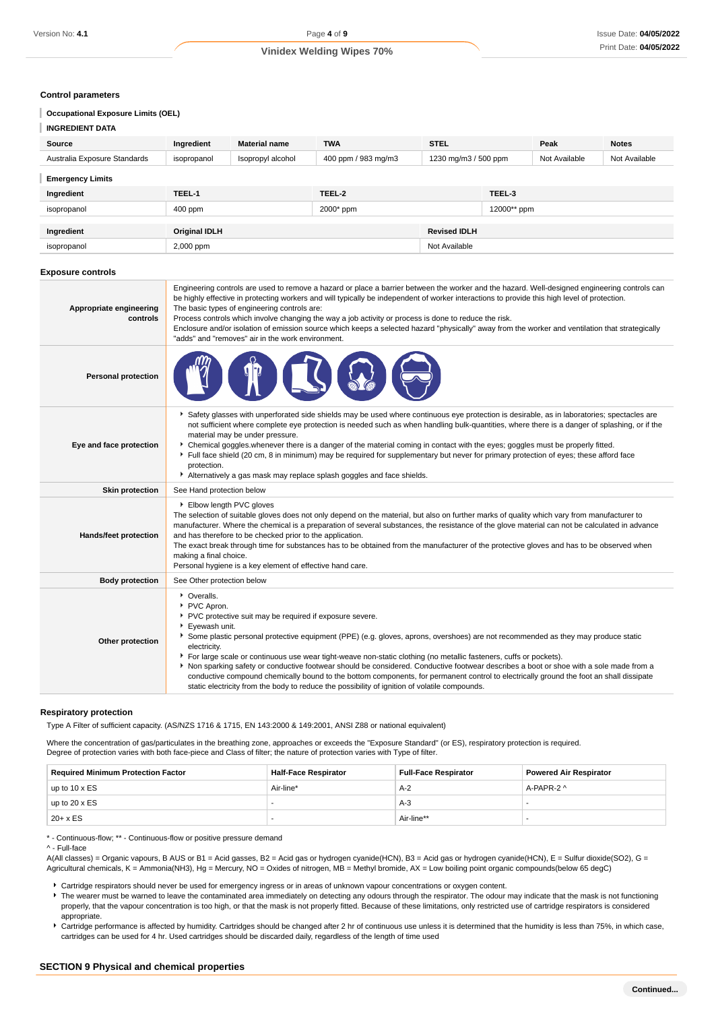#### **Control parameters**

### **Occupational Exposure Limits (OEL)**

| <b>INGREDIENT DATA</b>       |                      |                      |                     |                      |             |               |               |
|------------------------------|----------------------|----------------------|---------------------|----------------------|-------------|---------------|---------------|
| Source                       | Ingredient           | <b>Material name</b> | <b>TWA</b>          | <b>STEL</b>          |             | Peak          | <b>Notes</b>  |
| Australia Exposure Standards | isopropanol          | Isopropyl alcohol    | 400 ppm / 983 mg/m3 | 1230 mg/m3 / 500 ppm |             | Not Available | Not Available |
| <b>Emergency Limits</b>      |                      |                      |                     |                      |             |               |               |
| Ingredient                   | TEEL-1               |                      | TEEL-2              |                      | TEEL-3      |               |               |
| isopropanol                  | 400 ppm              |                      | 2000* ppm           |                      | 12000** ppm |               |               |
|                              |                      |                      |                     |                      |             |               |               |
| Ingredient                   | <b>Original IDLH</b> |                      |                     | <b>Revised IDLH</b>  |             |               |               |
| isopropanol                  | 2,000 ppm            |                      |                     | Not Available        |             |               |               |

#### **Exposure controls**

| Appropriate engineering<br>controls | Engineering controls are used to remove a hazard or place a barrier between the worker and the hazard. Well-designed engineering controls can<br>be highly effective in protecting workers and will typically be independent of worker interactions to provide this high level of protection.<br>The basic types of engineering controls are:<br>Process controls which involve changing the way a job activity or process is done to reduce the risk.<br>Enclosure and/or isolation of emission source which keeps a selected hazard "physically" away from the worker and ventilation that strategically<br>"adds" and "removes" air in the work environment.                                                                                                       |
|-------------------------------------|-----------------------------------------------------------------------------------------------------------------------------------------------------------------------------------------------------------------------------------------------------------------------------------------------------------------------------------------------------------------------------------------------------------------------------------------------------------------------------------------------------------------------------------------------------------------------------------------------------------------------------------------------------------------------------------------------------------------------------------------------------------------------|
| <b>Personal protection</b>          |                                                                                                                                                                                                                                                                                                                                                                                                                                                                                                                                                                                                                                                                                                                                                                       |
| Eye and face protection             | Safety glasses with unperforated side shields may be used where continuous eye protection is desirable, as in laboratories; spectacles are<br>not sufficient where complete eye protection is needed such as when handling bulk-quantities, where there is a danger of splashing, or if the<br>material may be under pressure.<br>▶ Chemical goggles whenever there is a danger of the material coming in contact with the eyes; goggles must be properly fitted.<br>Full face shield (20 cm, 8 in minimum) may be required for supplementary but never for primary protection of eyes; these afford face<br>protection.<br>Alternatively a gas mask may replace splash goggles and face shields.                                                                     |
| <b>Skin protection</b>              | See Hand protection below                                                                                                                                                                                                                                                                                                                                                                                                                                                                                                                                                                                                                                                                                                                                             |
| Hands/feet protection               | Elbow length PVC gloves<br>The selection of suitable gloves does not only depend on the material, but also on further marks of quality which vary from manufacturer to<br>manufacturer. Where the chemical is a preparation of several substances, the resistance of the glove material can not be calculated in advance<br>and has therefore to be checked prior to the application.<br>The exact break through time for substances has to be obtained from the manufacturer of the protective gloves and has to be observed when<br>making a final choice.<br>Personal hygiene is a key element of effective hand care.                                                                                                                                             |
| <b>Body protection</b>              | See Other protection below                                                                                                                                                                                                                                                                                                                                                                                                                                                                                                                                                                                                                                                                                                                                            |
| Other protection                    | • Overalls.<br>PVC Apron.<br>PVC protective suit may be required if exposure severe.<br>▶ Eyewash unit.<br>Some plastic personal protective equipment (PPE) (e.g. gloves, aprons, overshoes) are not recommended as they may produce static<br>electricity.<br>For large scale or continuous use wear tight-weave non-static clothing (no metallic fasteners, cuffs or pockets).<br>Non sparking safety or conductive footwear should be considered. Conductive footwear describes a boot or shoe with a sole made from a<br>conductive compound chemically bound to the bottom components, for permanent control to electrically ground the foot an shall dissipate<br>static electricity from the body to reduce the possibility of ignition of volatile compounds. |

#### **Respiratory protection**

Type A Filter of sufficient capacity. (AS/NZS 1716 & 1715, EN 143:2000 & 149:2001, ANSI Z88 or national equivalent)

Where the concentration of gas/particulates in the breathing zone, approaches or exceeds the "Exposure Standard" (or ES), respiratory protection is required. Degree of protection varies with both face-piece and Class of filter; the nature of protection varies with Type of filter.

| <b>Required Minimum Protection Factor</b> | <b>Full-Face Respirator</b><br><b>Half-Face Respirator</b> |            | <b>Powered Air Respirator</b> |  |
|-------------------------------------------|------------------------------------------------------------|------------|-------------------------------|--|
| up to $10 \times ES$                      | Air-line*                                                  | $A-2$      | A-PAPR-2 ^                    |  |
| up to $20 \times ES$                      |                                                            | A-3        |                               |  |
| $20 + x ES$                               |                                                            | Air-line** |                               |  |

\* - Continuous-flow; \*\* - Continuous-flow or positive pressure demand

A(All classes) = Organic vapours, B AUS or B1 = Acid gasses, B2 = Acid gas or hydrogen cyanide(HCN), B3 = Acid gas or hydrogen cyanide(HCN), E = Sulfur dioxide(SO2), G = Agricultural chemicals, K = Ammonia(NH3), Hg = Mercury, NO = Oxides of nitrogen, MB = Methyl bromide, AX = Low boiling point organic compounds(below 65 degC)

- Cartridge respirators should never be used for emergency ingress or in areas of unknown vapour concentrations or oxygen content.
- ▶ The wearer must be warned to leave the contaminated area immediately on detecting any odours through the respirator. The odour may indicate that the mask is not functioning properly, that the vapour concentration is too high, or that the mask is not properly fitted. Because of these limitations, only restricted use of cartridge respirators is considered appropriate.

Cartridge performance is affected by humidity. Cartridges should be changed after 2 hr of continuous use unless it is determined that the humidity is less than 75%, in which case, cartridges can be used for 4 hr. Used cartridges should be discarded daily, regardless of the length of time used

<sup>^ -</sup> Full-face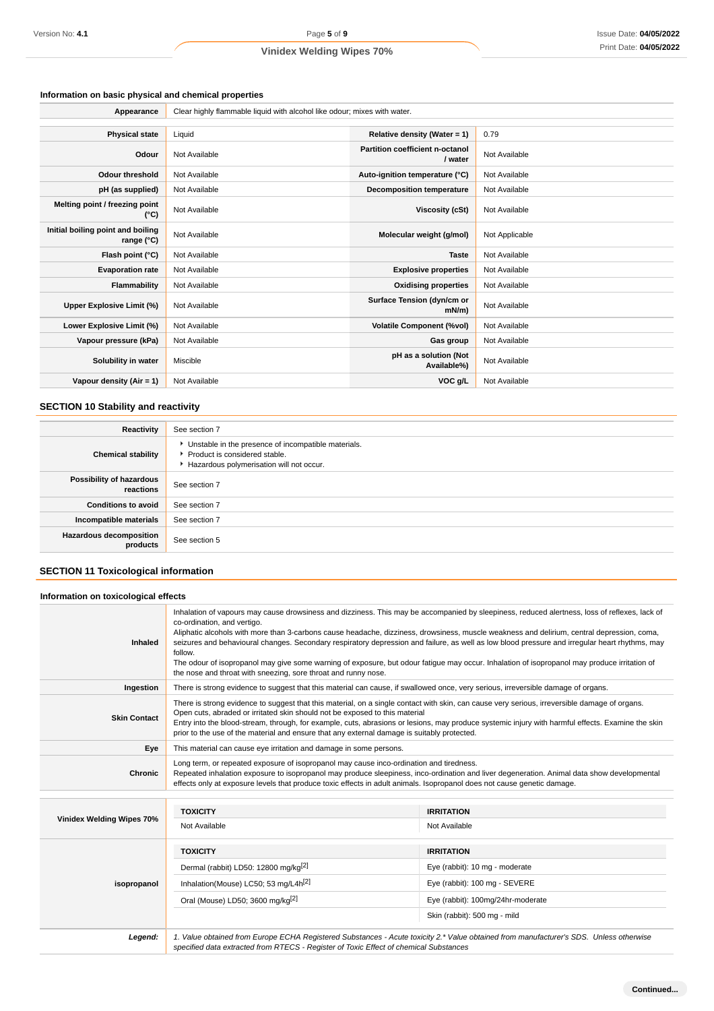#### **Information on basic physical and chemical properties**

| Appearance                                      | Clear highly flammable liquid with alcohol like odour; mixes with water. |                                            |                |  |  |
|-------------------------------------------------|--------------------------------------------------------------------------|--------------------------------------------|----------------|--|--|
|                                                 |                                                                          |                                            |                |  |  |
| <b>Physical state</b>                           | Liquid                                                                   | Relative density (Water = 1)               | 0.79           |  |  |
| Odour                                           | Not Available                                                            | Partition coefficient n-octanol<br>/ water | Not Available  |  |  |
| <b>Odour threshold</b>                          | Not Available                                                            | Auto-ignition temperature (°C)             | Not Available  |  |  |
| pH (as supplied)                                | Not Available                                                            | <b>Decomposition temperature</b>           | Not Available  |  |  |
| Melting point / freezing point<br>(°C)          | Not Available                                                            | Viscosity (cSt)                            | Not Available  |  |  |
| Initial boiling point and boiling<br>range (°C) | Not Available                                                            | Molecular weight (g/mol)                   | Not Applicable |  |  |
| Flash point (°C)                                | Not Available                                                            | <b>Taste</b>                               | Not Available  |  |  |
| <b>Evaporation rate</b>                         | Not Available                                                            | <b>Explosive properties</b>                | Not Available  |  |  |
| Flammability                                    | Not Available                                                            | <b>Oxidising properties</b>                | Not Available  |  |  |
| Upper Explosive Limit (%)                       | Not Available                                                            | Surface Tension (dyn/cm or<br>$mN/m$ )     | Not Available  |  |  |
| Lower Explosive Limit (%)                       | Not Available                                                            | <b>Volatile Component (%vol)</b>           | Not Available  |  |  |
| Vapour pressure (kPa)                           | Not Available                                                            | Gas group                                  | Not Available  |  |  |
| Solubility in water                             | Miscible                                                                 | pH as a solution (Not<br>Available%)       | Not Available  |  |  |
| Vapour density ( $Air = 1$ )                    | Not Available                                                            | VOC g/L                                    | Not Available  |  |  |

#### **SECTION 10 Stability and reactivity**

| Reactivity                                 | See section 7                                                                                                                        |
|--------------------------------------------|--------------------------------------------------------------------------------------------------------------------------------------|
| <b>Chemical stability</b>                  | • Unstable in the presence of incompatible materials.<br>▶ Product is considered stable.<br>Hazardous polymerisation will not occur. |
| Possibility of hazardous<br>reactions      | See section 7                                                                                                                        |
| <b>Conditions to avoid</b>                 | See section 7                                                                                                                        |
| Incompatible materials                     | See section 7                                                                                                                        |
| <b>Hazardous decomposition</b><br>products | See section 5                                                                                                                        |

# **SECTION 11 Toxicological information**

#### **Information on toxicological effects Inhaled** Inhalation of vapours may cause drowsiness and dizziness. This may be accompanied by sleepiness, reduced alertness, loss of reflexes, lack of co-ordination, and vertigo. Aliphatic alcohols with more than 3-carbons cause headache, dizziness, drowsiness, muscle weakness and delirium, central depression, coma, seizures and behavioural changes. Secondary respiratory depression and failure, as well as low blood pressure and irregular heart rhythms, may follow. The odour of isopropanol may give some warning of exposure, but odour fatigue may occur. Inhalation of isopropanol may produce irritation of the nose and throat with sneezing, sore throat and runny nose. Ingestion There is strong evidence to suggest that this material can cause, if swallowed once, very serious, irreversible damage of organs. **Skin Contact** There is strong evidence to suggest that this material, on a single contact with skin, can cause very serious, irreversible damage of organs. Open cuts, abraded or irritated skin should not be exposed to this material Entry into the blood-stream, through, for example, cuts, abrasions or lesions, may produce systemic injury with harmful effects. Examine the skin prior to the use of the material and ensure that any external damage is suitably protected. **Eye** This material can cause eye irritation and damage in some persons. **Chronic** Long term, or repeated exposure of isopropanol may cause inco-ordination and tiredness. Repeated inhalation exposure to isopropanol may produce sleepiness, inco-ordination and liver degeneration. Animal data show developmental effects only at exposure levels that produce toxic effects in adult animals. Isopropanol does not cause genetic damage.

| Vinidex Welding Wipes 70%<br>isopropanol | <b>TOXICITY</b>                                                                                                                                                                                                                 | <b>IRRITATION</b>                 |  |  |
|------------------------------------------|---------------------------------------------------------------------------------------------------------------------------------------------------------------------------------------------------------------------------------|-----------------------------------|--|--|
|                                          | Not Available                                                                                                                                                                                                                   | Not Available                     |  |  |
|                                          | <b>TOXICITY</b>                                                                                                                                                                                                                 | <b>IRRITATION</b>                 |  |  |
|                                          | Dermal (rabbit) LD50: 12800 mg/kg <sup>[2]</sup>                                                                                                                                                                                | Eye (rabbit): 10 mg - moderate    |  |  |
|                                          | Inhalation(Mouse) LC50; 53 mg/L4h <sup>[2]</sup>                                                                                                                                                                                | Eye (rabbit): 100 mg - SEVERE     |  |  |
|                                          | Oral (Mouse) LD50; 3600 mg/kg <sup>[2]</sup>                                                                                                                                                                                    | Eye (rabbit): 100mg/24hr-moderate |  |  |
|                                          |                                                                                                                                                                                                                                 | Skin (rabbit): 500 mg - mild      |  |  |
| Legend:                                  | 1. Value obtained from Europe ECHA Registered Substances - Acute toxicity 2.* Value obtained from manufacturer's SDS. Unless otherwise<br>specified data extracted from RTECS - Register of Toxic Effect of chemical Substances |                                   |  |  |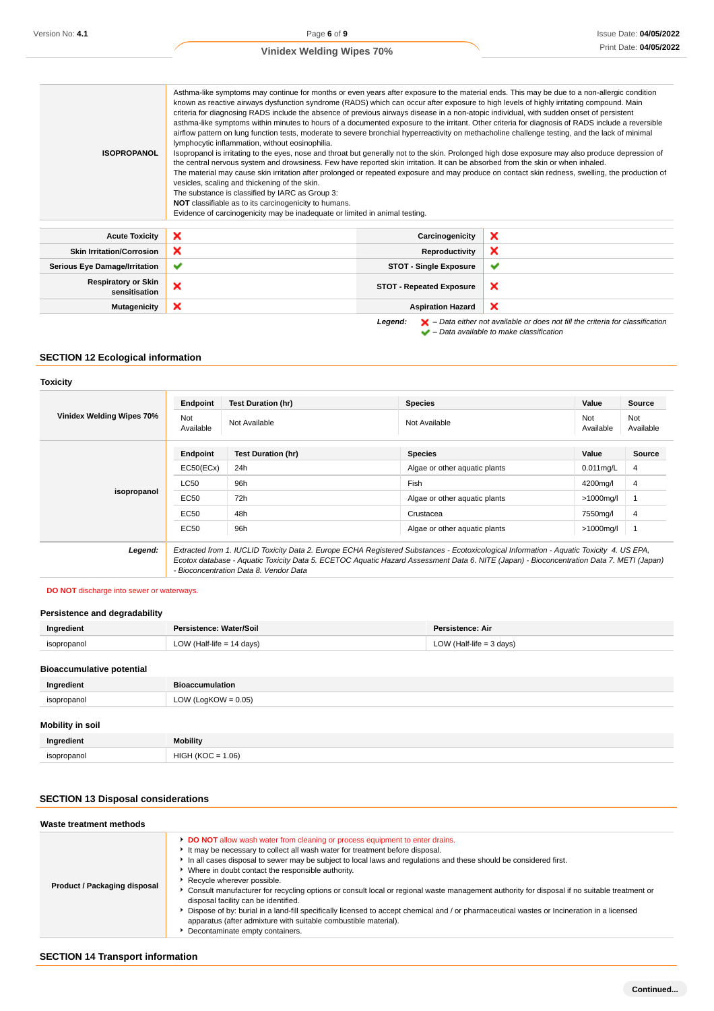| <b>ISOPROPANOL</b>                          | Asthma-like symptoms may continue for months or even years after exposure to the material ends. This may be due to a non-allergic condition<br>known as reactive airways dysfunction syndrome (RADS) which can occur after exposure to high levels of highly irritating compound. Main<br>criteria for diagnosing RADS include the absence of previous airways disease in a non-atopic individual, with sudden onset of persistent<br>asthma-like symptoms within minutes to hours of a documented exposure to the irritant. Other criteria for diagnosis of RADS include a reversible<br>airflow pattern on lung function tests, moderate to severe bronchial hyperreactivity on methacholine challenge testing, and the lack of minimal<br>lymphocytic inflammation, without eosinophilia.<br>Isopropanol is irritating to the eyes, nose and throat but generally not to the skin. Prolonged high dose exposure may also produce depression of<br>the central nervous system and drowsiness. Few have reported skin irritation. It can be absorbed from the skin or when inhaled.<br>The material may cause skin irritation after prolonged or repeated exposure and may produce on contact skin redness, swelling, the production of<br>vesicles, scaling and thickening of the skin.<br>The substance is classified by IARC as Group 3:<br>NOT classifiable as to its carcinogenicity to humans.<br>Evidence of carcinogenicity may be inadequate or limited in animal testing. |                                 |                                                                                                    |  |  |  |
|---------------------------------------------|--------------------------------------------------------------------------------------------------------------------------------------------------------------------------------------------------------------------------------------------------------------------------------------------------------------------------------------------------------------------------------------------------------------------------------------------------------------------------------------------------------------------------------------------------------------------------------------------------------------------------------------------------------------------------------------------------------------------------------------------------------------------------------------------------------------------------------------------------------------------------------------------------------------------------------------------------------------------------------------------------------------------------------------------------------------------------------------------------------------------------------------------------------------------------------------------------------------------------------------------------------------------------------------------------------------------------------------------------------------------------------------------------------------------------------------------------------------------------------------|---------------------------------|----------------------------------------------------------------------------------------------------|--|--|--|
| <b>Acute Toxicity</b>                       | ×                                                                                                                                                                                                                                                                                                                                                                                                                                                                                                                                                                                                                                                                                                                                                                                                                                                                                                                                                                                                                                                                                                                                                                                                                                                                                                                                                                                                                                                                                    | Carcinogenicity                 | ×                                                                                                  |  |  |  |
| <b>Skin Irritation/Corrosion</b>            | ×                                                                                                                                                                                                                                                                                                                                                                                                                                                                                                                                                                                                                                                                                                                                                                                                                                                                                                                                                                                                                                                                                                                                                                                                                                                                                                                                                                                                                                                                                    | Reproductivity                  | ×                                                                                                  |  |  |  |
| <b>Serious Eye Damage/Irritation</b>        | ✔                                                                                                                                                                                                                                                                                                                                                                                                                                                                                                                                                                                                                                                                                                                                                                                                                                                                                                                                                                                                                                                                                                                                                                                                                                                                                                                                                                                                                                                                                    | <b>STOT - Single Exposure</b>   | $\checkmark$                                                                                       |  |  |  |
| <b>Respiratory or Skin</b><br>sensitisation | ×                                                                                                                                                                                                                                                                                                                                                                                                                                                                                                                                                                                                                                                                                                                                                                                                                                                                                                                                                                                                                                                                                                                                                                                                                                                                                                                                                                                                                                                                                    | <b>STOT - Repeated Exposure</b> | ×                                                                                                  |  |  |  |
| <b>Mutagenicity</b>                         | ×                                                                                                                                                                                                                                                                                                                                                                                                                                                                                                                                                                                                                                                                                                                                                                                                                                                                                                                                                                                                                                                                                                                                                                                                                                                                                                                                                                                                                                                                                    | <b>Aspiration Hazard</b>        | ×                                                                                                  |  |  |  |
|                                             |                                                                                                                                                                                                                                                                                                                                                                                                                                                                                                                                                                                                                                                                                                                                                                                                                                                                                                                                                                                                                                                                                                                                                                                                                                                                                                                                                                                                                                                                                      | Legend:                         | $\blacktriangleright$ - Data either not available or does not fill the criteria for classification |  |  |  |

 $\blacktriangleright$  – Data either rior available to make classification

# **SECTION 12 Ecological information**

# **Toxicity**

| Vinidex Welding Wipes 70% | Endpoint<br>Not<br>Available                                                                                                                                                                                                                                                                                                   | <b>Test Duration (hr)</b><br>Not Available | <b>Species</b><br>Not Available | Value<br>Not<br>Available | Source<br>Not<br>Available |
|---------------------------|--------------------------------------------------------------------------------------------------------------------------------------------------------------------------------------------------------------------------------------------------------------------------------------------------------------------------------|--------------------------------------------|---------------------------------|---------------------------|----------------------------|
|                           | Endpoint                                                                                                                                                                                                                                                                                                                       | Test Duration (hr)                         | <b>Species</b>                  | Value                     | <b>Source</b>              |
|                           | EC50(ECx)                                                                                                                                                                                                                                                                                                                      | 24h                                        | Algae or other aquatic plants   | $0.011$ mg/L              | 4                          |
|                           | <b>LC50</b>                                                                                                                                                                                                                                                                                                                    | 96h                                        | Fish                            | 4200mg/l                  | 4                          |
| isopropanol               | EC50                                                                                                                                                                                                                                                                                                                           | 72h                                        | Algae or other aquatic plants   | $>1000$ mg/l              |                            |
|                           | EC50                                                                                                                                                                                                                                                                                                                           | 48h                                        | Crustacea                       | 7550mg/l                  | $\overline{4}$             |
|                           | <b>EC50</b>                                                                                                                                                                                                                                                                                                                    | 96h                                        | Algae or other aquatic plants   | $>1000$ mg/l              |                            |
| Legend:                   | Extracted from 1. IUCLID Toxicity Data 2. Europe ECHA Registered Substances - Ecotoxicological Information - Aquatic Toxicity 4. US EPA,<br>Ecotox database - Aquatic Toxicity Data 5. ECETOC Aquatic Hazard Assessment Data 6. NITE (Japan) - Bioconcentration Data 7. METI (Japan)<br>- Bioconcentration Data 8. Vendor Data |                                            |                                 |                           |                            |

### **DO NOT** discharge into sewer or waterways.

### **Persistence and degradability**

| Ingredient  | Persistence: Water/Soil   | Persistence: Air           |
|-------------|---------------------------|----------------------------|
| isopropanol | LOW (Half-life = 14 days) | LOW (Half-life $=$ 3 days) |
|             |                           |                            |

# **Bioaccumulative potential**

| Ingredient              | <b>Bioaccumulation</b> |
|-------------------------|------------------------|
| isopropanol             | LOW (LogKOW = $0.05$ ) |
| <b>Mobility in soil</b> |                        |
| Ingredient              | <b>Mobility</b>        |
| isopropanol             | $HIGH (KOC = 1.06)$    |

# **SECTION 13 Disposal considerations**

| Product / Packaging disposal | <b>DO NOT</b> allow wash water from cleaning or process equipment to enter drains.<br>It may be necessary to collect all wash water for treatment before disposal.<br>In all cases disposal to sewer may be subject to local laws and regulations and these should be considered first.<br>• Where in doubt contact the responsible authority.<br>▶ Recycle wherever possible.<br>► Consult manufacturer for recycling options or consult local or regional waste management authority for disposal if no suitable treatment or<br>disposal facility can be identified.<br>Dispose of by: burial in a land-fill specifically licensed to accept chemical and / or pharmaceutical wastes or Incineration in a licensed<br>apparatus (after admixture with suitable combustible material).<br>Decontaminate empty containers. |
|------------------------------|-----------------------------------------------------------------------------------------------------------------------------------------------------------------------------------------------------------------------------------------------------------------------------------------------------------------------------------------------------------------------------------------------------------------------------------------------------------------------------------------------------------------------------------------------------------------------------------------------------------------------------------------------------------------------------------------------------------------------------------------------------------------------------------------------------------------------------|

# **SECTION 14 Transport information**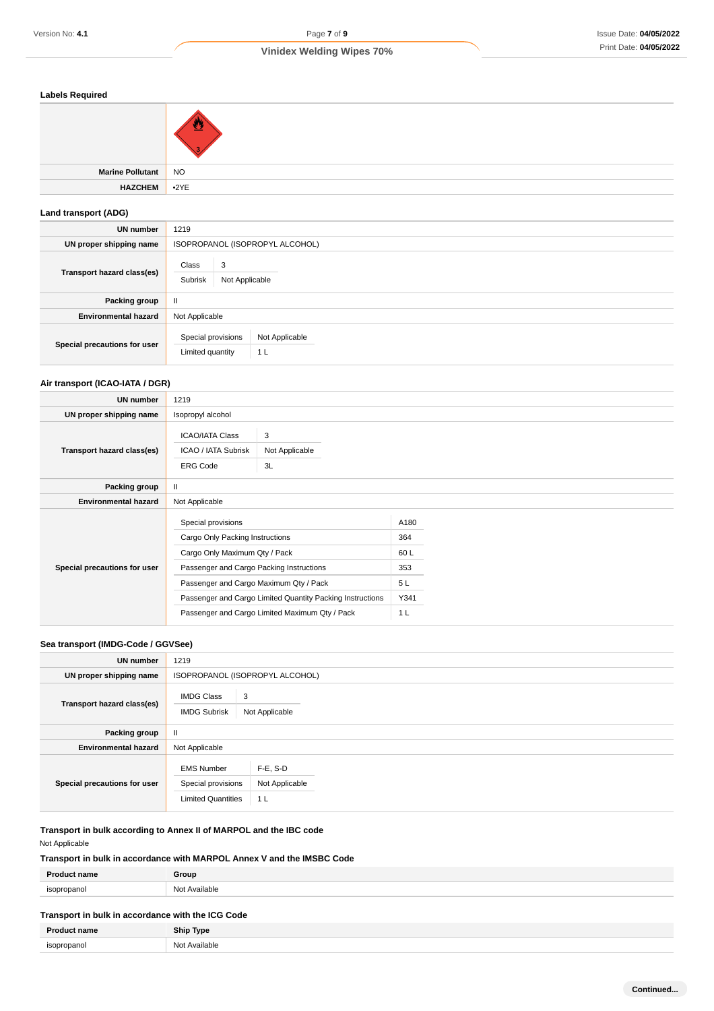| <b>Labels Required</b>      |                                 |  |  |
|-----------------------------|---------------------------------|--|--|
|                             | ै                               |  |  |
| <b>Marine Pollutant</b>     | <b>NO</b>                       |  |  |
| <b>HAZCHEM</b>              | •2YE                            |  |  |
| <b>Land transport (ADG)</b> |                                 |  |  |
| UN number                   | 1219                            |  |  |
| UN proper shipping name     | ISOPROPANOL (ISOPROPYL ALCOHOL) |  |  |
| Transport hazard class(es)  | Class<br>$\overline{3}$         |  |  |

|                              | Subrisk<br>Not Applicable              |                       |  |
|------------------------------|----------------------------------------|-----------------------|--|
| Packing group                | $\mathbf{I}$                           |                       |  |
| <b>Environmental hazard</b>  | Not Applicable                         |                       |  |
| Special precautions for user | Special provisions<br>Limited quantity | Not Applicable<br>1 L |  |

# **Air transport (ICAO-IATA / DGR)**

| UN number                    | 1219                                                                                                                                                                                                                                      |                           |                                         |  |
|------------------------------|-------------------------------------------------------------------------------------------------------------------------------------------------------------------------------------------------------------------------------------------|---------------------------|-----------------------------------------|--|
| UN proper shipping name      | Isopropyl alcohol                                                                                                                                                                                                                         |                           |                                         |  |
| Transport hazard class(es)   | <b>ICAO/IATA Class</b><br>ICAO / IATA Subrisk<br><b>ERG Code</b>                                                                                                                                                                          | 3<br>Not Applicable<br>3L |                                         |  |
| Packing group                | Ш                                                                                                                                                                                                                                         |                           |                                         |  |
| <b>Environmental hazard</b>  | Not Applicable                                                                                                                                                                                                                            |                           |                                         |  |
| Special precautions for user | Special provisions<br>Cargo Only Packing Instructions<br>Cargo Only Maximum Qty / Pack<br>Passenger and Cargo Packing Instructions<br>Passenger and Cargo Maximum Qty / Pack<br>Passenger and Cargo Limited Quantity Packing Instructions |                           | A180<br>364<br>60L<br>353<br>5L<br>Y341 |  |
|                              | Passenger and Cargo Limited Maximum Qty / Pack                                                                                                                                                                                            |                           | 1 <sub>L</sub>                          |  |

# **Sea transport (IMDG-Code / GGVSee)**

| <b>UN number</b>             | 1219                                                                 |                                              |  |  |
|------------------------------|----------------------------------------------------------------------|----------------------------------------------|--|--|
| UN proper shipping name      |                                                                      | ISOPROPANOL (ISOPROPYL ALCOHOL)              |  |  |
| Transport hazard class(es)   | <b>IMDG Class</b><br>3<br><b>IMDG Subrisk</b><br>Not Applicable      |                                              |  |  |
| Packing group                | $\mathbf{II}$                                                        |                                              |  |  |
| <b>Environmental hazard</b>  | Not Applicable                                                       |                                              |  |  |
| Special precautions for user | <b>EMS Number</b><br>Special provisions<br><b>Limited Quantities</b> | F-E, S-D<br>Not Applicable<br>1 <sub>L</sub> |  |  |

**Transport in bulk according to Annex II of MARPOL and the IBC code** Not Applicable

# **Transport in bulk in accordance with MARPOL Annex V and the IMSBC Code**

| <b>Product name</b>                               | Group         |  |
|---------------------------------------------------|---------------|--|
| isopropanol                                       | Not Available |  |
|                                                   |               |  |
| Transport in bulk in accordance with the ICG Code |               |  |

| <b>Drodu</b>            | <b>Ship Type</b>                  |
|-------------------------|-----------------------------------|
| isonronanol<br>$\cdots$ | Available<br>N <sub>nt</sub><br>. |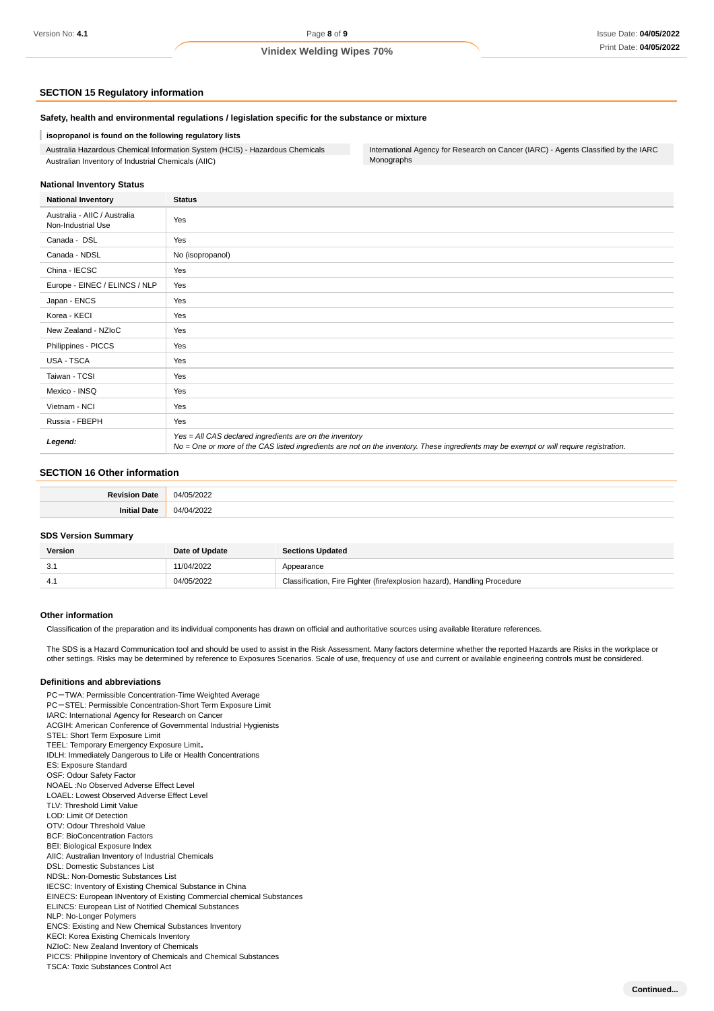#### **SECTION 15 Regulatory information**

#### **Safety, health and environmental regulations / legislation specific for the substance or mixture**

#### ı **isopropanol is found on the following regulatory lists**

Australia Hazardous Chemical Information System (HCIS) - Hazardous Chemicals Australian Inventory of Industrial Chemicals (AIIC)

International Agency for Research on Cancer (IARC) - Agents Classified by the IARC Monographs

#### **National Inventory Status**

| <b>National Inventory</b>                          | <b>Status</b>                                                                                                                                                                                     |
|----------------------------------------------------|---------------------------------------------------------------------------------------------------------------------------------------------------------------------------------------------------|
| Australia - AIIC / Australia<br>Non-Industrial Use | Yes                                                                                                                                                                                               |
| Canada - DSL                                       | Yes                                                                                                                                                                                               |
| Canada - NDSL                                      | No (isopropanol)                                                                                                                                                                                  |
| China - IECSC                                      | Yes                                                                                                                                                                                               |
| Europe - EINEC / ELINCS / NLP                      | Yes                                                                                                                                                                                               |
| Japan - ENCS                                       | Yes                                                                                                                                                                                               |
| Korea - KECI                                       | Yes                                                                                                                                                                                               |
| New Zealand - NZIoC                                | Yes                                                                                                                                                                                               |
| Philippines - PICCS                                | Yes                                                                                                                                                                                               |
| USA - TSCA                                         | Yes                                                                                                                                                                                               |
| Taiwan - TCSI                                      | Yes                                                                                                                                                                                               |
| Mexico - INSQ                                      | Yes                                                                                                                                                                                               |
| Vietnam - NCI                                      | Yes                                                                                                                                                                                               |
| Russia - FBEPH                                     | Yes                                                                                                                                                                                               |
| Legend:                                            | Yes = All CAS declared ingredients are on the inventory<br>No = One or more of the CAS listed ingredients are not on the inventory. These ingredients may be exempt or will require registration. |

### **SECTION 16 Other information**

#### **SDS Version Summary**

| Version | Date of Update | <b>Sections Updated</b>                                                  |
|---------|----------------|--------------------------------------------------------------------------|
| 3.7     | 11/04/2022     | Appearance                                                               |
|         | 04/05/2022     | Classification, Fire Fighter (fire/explosion hazard), Handling Procedure |

#### **Other information**

Classification of the preparation and its individual components has drawn on official and authoritative sources using available literature references.

The SDS is a Hazard Communication tool and should be used to assist in the Risk Assessment. Many factors determine whether the reported Hazards are Risks in the workplace or other settings. Risks may be determined by reference to Exposures Scenarios. Scale of use, frequency of use and current or available engineering controls must be considered.

#### **Definitions and abbreviations**

PC-TWA: Permissible Concentration-Time Weighted Average PC-STEL: Permissible Concentration-Short Term Exposure Limit IARC: International Agency for Research on Cancer ACGIH: American Conference of Governmental Industrial Hygienists STEL: Short Term Exposure Limit TEEL: Temporary Emergency Exposure Limit。 IDLH: Immediately Dangerous to Life or Health Concentrations ES: Exposure Standard OSF: Odour Safety Factor NOAEL :No Observed Adverse Effect Level LOAEL: Lowest Observed Adverse Effect Level TLV: Threshold Limit Value LOD: Limit Of Detection OTV: Odour Threshold Value BCF: BioConcentration Factors BEI: Biological Exposure Index AIIC: Australian Inventory of Industrial Chemicals DSL: Domestic Substances List NDSL: Non-Domestic Substances List IECSC: Inventory of Existing Chemical Substance in China EINECS: European INventory of Existing Commercial chemical Substances ELINCS: European List of Notified Chemical Substances NLP: No-Longer Polymers ENCS: Existing and New Chemical Substances Inventory KECI: Korea Existing Chemicals Inventory NZIoC: New Zealand Inventory of Chemicals PICCS: Philippine Inventory of Chemicals and Chemical Substances TSCA: Toxic Substances Control Act